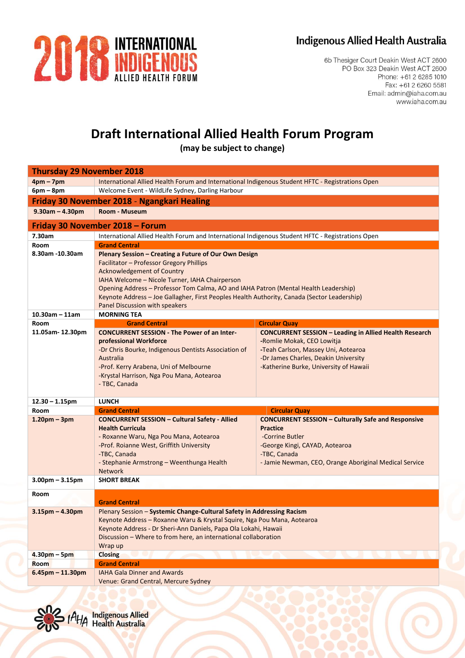## Indigenous Allied Health Australia



6b Thesiger Court Deakin West ACT 2600 PO Box 323 Deakin West ACT 2600 Phone: +61 2 6285 1010 Fax: +61 2 6260 5581 Email: admin@iaha.com.au www.iaha.com.au

## **Draft International Allied Health Forum Program**

**(may be subject to change)**

| <b>Thursday 29 November 2018</b>            |                                                                                                                                                                                                                                                                                                                                                                                                                   |                                                                                                                                                                                                                      |  |
|---------------------------------------------|-------------------------------------------------------------------------------------------------------------------------------------------------------------------------------------------------------------------------------------------------------------------------------------------------------------------------------------------------------------------------------------------------------------------|----------------------------------------------------------------------------------------------------------------------------------------------------------------------------------------------------------------------|--|
| $4pm - 7pm$                                 | International Allied Health Forum and International Indigenous Student HFTC - Registrations Open                                                                                                                                                                                                                                                                                                                  |                                                                                                                                                                                                                      |  |
| $6pm - 8pm$                                 | Welcome Event - WildLife Sydney, Darling Harbour                                                                                                                                                                                                                                                                                                                                                                  |                                                                                                                                                                                                                      |  |
| Friday 30 November 2018 - Ngangkari Healing |                                                                                                                                                                                                                                                                                                                                                                                                                   |                                                                                                                                                                                                                      |  |
| $9.30am - 4.30pm$                           | Room - Museum                                                                                                                                                                                                                                                                                                                                                                                                     |                                                                                                                                                                                                                      |  |
| Friday 30 November 2018 - Forum             |                                                                                                                                                                                                                                                                                                                                                                                                                   |                                                                                                                                                                                                                      |  |
| 7.30am                                      | International Allied Health Forum and International Indigenous Student HFTC - Registrations Open                                                                                                                                                                                                                                                                                                                  |                                                                                                                                                                                                                      |  |
| Room                                        | <b>Grand Central</b>                                                                                                                                                                                                                                                                                                                                                                                              |                                                                                                                                                                                                                      |  |
| 8.30am -10.30am                             | Plenary Session - Creating a Future of Our Own Design<br>Facilitator - Professor Gregory Phillips<br><b>Acknowledgement of Country</b><br>IAHA Welcome - Nicole Turner, IAHA Chairperson<br>Opening Address - Professor Tom Calma, AO and IAHA Patron (Mental Health Leadership)<br>Keynote Address - Joe Gallagher, First Peoples Health Authority, Canada (Sector Leadership)<br>Panel Discussion with speakers |                                                                                                                                                                                                                      |  |
| $10.30$ am - 11am                           | <b>MORNING TEA</b>                                                                                                                                                                                                                                                                                                                                                                                                |                                                                                                                                                                                                                      |  |
| Room                                        | <b>Grand Central</b>                                                                                                                                                                                                                                                                                                                                                                                              | <b>Circular Quay</b>                                                                                                                                                                                                 |  |
| 11.05am-12.30pm                             | <b>CONCURRENT SESSION - The Power of an Inter-</b><br>professional Workforce<br>-Dr Chris Bourke, Indigenous Dentists Association of<br>Australia<br>-Prof. Kerry Arabena, Uni of Melbourne<br>-Krystal Harrison, Nga Pou Mana, Aotearoa<br>- TBC, Canada                                                                                                                                                         | <b>CONCURRENT SESSION - Leading in Allied Health Research</b><br>-Romlie Mokak, CEO Lowitja<br>-Teah Carlson, Massey Uni, Aotearoa<br>-Dr James Charles, Deakin University<br>-Katherine Burke, University of Hawaii |  |
| $12.30 - 1.15$ pm                           | <b>LUNCH</b>                                                                                                                                                                                                                                                                                                                                                                                                      |                                                                                                                                                                                                                      |  |
| Room                                        | <b>Grand Central</b>                                                                                                                                                                                                                                                                                                                                                                                              | <b>Circular Quay</b>                                                                                                                                                                                                 |  |
| $1.20pm - 3pm$                              | <b>CONCURRENT SESSION - Cultural Safety - Allied</b><br><b>Health Curricula</b><br>- Roxanne Waru, Nga Pou Mana, Aotearoa<br>-Prof. Roianne West, Griffith University<br>-TBC, Canada<br>- Stephanie Armstrong - Weenthunga Health<br><b>Network</b>                                                                                                                                                              | <b>CONCURRENT SESSION - Culturally Safe and Responsive</b><br><b>Practice</b><br>-Corrine Butler<br>-George Kingi, CAYAD, Aotearoa<br>-TBC, Canada<br>- Jamie Newman, CEO, Orange Aboriginal Medical Service         |  |
| $3.00$ pm – $3.15$ pm                       | <b>SHORT BREAK</b>                                                                                                                                                                                                                                                                                                                                                                                                |                                                                                                                                                                                                                      |  |
| Room                                        | <b>Grand Central</b>                                                                                                                                                                                                                                                                                                                                                                                              |                                                                                                                                                                                                                      |  |
| 3.15pm – 4.30pm                             | Plenary Session – Systemic Change-Cultural Safety in Addressing Racism<br>Keynote Address - Roxanne Waru & Krystal Squire, Nga Pou Mana, Aotearoa<br>Keynote Address - Dr Sheri-Ann Daniels, Papa Ola Lokahi, Hawaii<br>Discussion - Where to from here, an international collaboration<br>Wrap up                                                                                                                |                                                                                                                                                                                                                      |  |
| $4.30pm - 5pm$                              | <b>Closing</b>                                                                                                                                                                                                                                                                                                                                                                                                    |                                                                                                                                                                                                                      |  |
| <b>Room</b>                                 | <b>Grand Central</b>                                                                                                                                                                                                                                                                                                                                                                                              |                                                                                                                                                                                                                      |  |
| $6.45$ pm - 11.30pm                         | <b>IAHA Gala Dinner and Awards</b><br>Venue: Grand Central, Mercure Sydney                                                                                                                                                                                                                                                                                                                                        |                                                                                                                                                                                                                      |  |